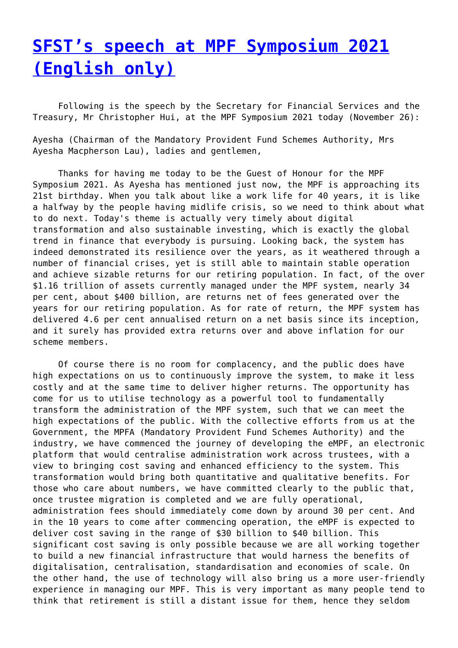## **[SFST's speech at MPF Symposium 2021](http://www.government-world.com/sfsts-speech-at-mpf-symposium-2021-english-only/) [\(English only\)](http://www.government-world.com/sfsts-speech-at-mpf-symposium-2021-english-only/)**

 Following is the speech by the Secretary for Financial Services and the Treasury, Mr Christopher Hui, at the MPF Symposium 2021 today (November 26):

Ayesha (Chairman of the Mandatory Provident Fund Schemes Authority, Mrs Ayesha Macpherson Lau), ladies and gentlemen,

 Thanks for having me today to be the Guest of Honour for the MPF Symposium 2021. As Ayesha has mentioned just now, the MPF is approaching its 21st birthday. When you talk about like a work life for 40 years, it is like a halfway by the people having midlife crisis, so we need to think about what to do next. Today's theme is actually very timely about digital transformation and also sustainable investing, which is exactly the global trend in finance that everybody is pursuing. Looking back, the system has indeed demonstrated its resilience over the years, as it weathered through a number of financial crises, yet is still able to maintain stable operation and achieve sizable returns for our retiring population. In fact, of the over \$1.16 trillion of assets currently managed under the MPF system, nearly 34 per cent, about \$400 billion, are returns net of fees generated over the years for our retiring population. As for rate of return, the MPF system has delivered 4.6 per cent annualised return on a net basis since its inception, and it surely has provided extra returns over and above inflation for our scheme members.

 Of course there is no room for complacency, and the public does have high expectations on us to continuously improve the system, to make it less costly and at the same time to deliver higher returns. The opportunity has come for us to utilise technology as a powerful tool to fundamentally transform the administration of the MPF system, such that we can meet the high expectations of the public. With the collective efforts from us at the Government, the MPFA (Mandatory Provident Fund Schemes Authority) and the industry, we have commenced the journey of developing the eMPF, an electronic platform that would centralise administration work across trustees, with a view to bringing cost saving and enhanced efficiency to the system. This transformation would bring both quantitative and qualitative benefits. For those who care about numbers, we have committed clearly to the public that, once trustee migration is completed and we are fully operational, administration fees should immediately come down by around 30 per cent. And in the 10 years to come after commencing operation, the eMPF is expected to deliver cost saving in the range of \$30 billion to \$40 billion. This significant cost saving is only possible because we are all working together to build a new financial infrastructure that would harness the benefits of digitalisation, centralisation, standardisation and economies of scale. On the other hand, the use of technology will also bring us a more user-friendly experience in managing our MPF. This is very important as many people tend to think that retirement is still a distant issue for them, hence they seldom